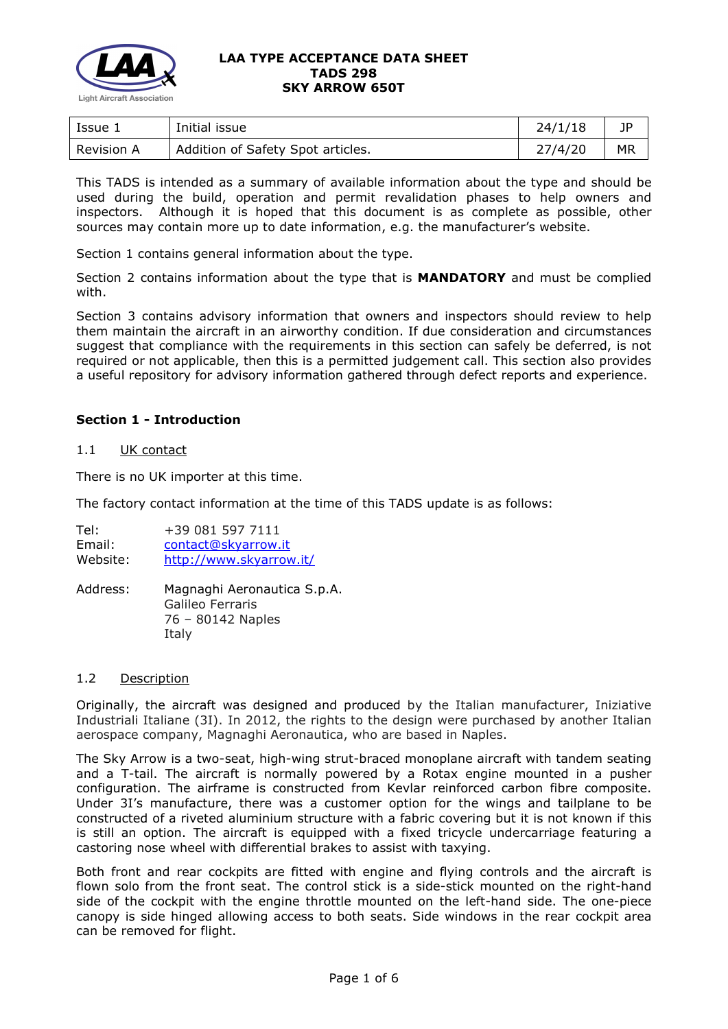

| Issue 1    | Initial issue                     | 24/1/18 | JP        |
|------------|-----------------------------------|---------|-----------|
| Revision A | Addition of Safety Spot articles. | 27/4/20 | <b>MR</b> |

This TADS is intended as a summary of available information about the type and should be used during the build, operation and permit revalidation phases to help owners and inspectors. Although it is hoped that this document is as complete as possible, other sources may contain more up to date information, e.g. the manufacturer's website.

Section 1 contains general information about the type.

Section 2 contains information about the type that is **MANDATORY** and must be complied with.

Section 3 contains advisory information that owners and inspectors should review to help them maintain the aircraft in an airworthy condition. If due consideration and circumstances suggest that compliance with the requirements in this section can safely be deferred, is not required or not applicable, then this is a permitted judgement call. This section also provides a useful repository for advisory information gathered through defect reports and experience.

## **Section 1 - Introduction**

### 1.1 UK contact

There is no UK importer at this time.

The factory contact information at the time of this TADS update is as follows:

Tel: +39 081 597 7111 Email: [contact@skyarrow.it](mailto:contact@skyarrow.it) Website: <http://www.skyarrow.it/> Address: Magnaghi Aeronautica S.p.A. Galileo Ferraris 76 – 80142 Naples

Italy

#### 1.2 Description

Originally, the aircraft was designed and produced by the Italian manufacturer, Iniziative Industriali Italiane (3I). In 2012, the rights to the design were purchased by another Italian aerospace company, Magnaghi Aeronautica, who are based in Naples.

The Sky Arrow is a two-seat, high-wing strut-braced monoplane aircraft with tandem seating and a T-tail. The aircraft is normally powered by a Rotax engine mounted in a pusher configuration. The airframe is constructed from Kevlar reinforced carbon fibre composite. Under 3I's manufacture, there was a customer option for the wings and tailplane to be constructed of a riveted aluminium structure with a fabric covering but it is not known if this is still an option. The aircraft is equipped with a fixed tricycle undercarriage featuring a castoring nose wheel with differential brakes to assist with taxying.

Both front and rear cockpits are fitted with engine and flying controls and the aircraft is flown solo from the front seat. The control stick is a side-stick mounted on the right-hand side of the cockpit with the engine throttle mounted on the left-hand side. The one-piece canopy is side hinged allowing access to both seats. Side windows in the rear cockpit area can be removed for flight.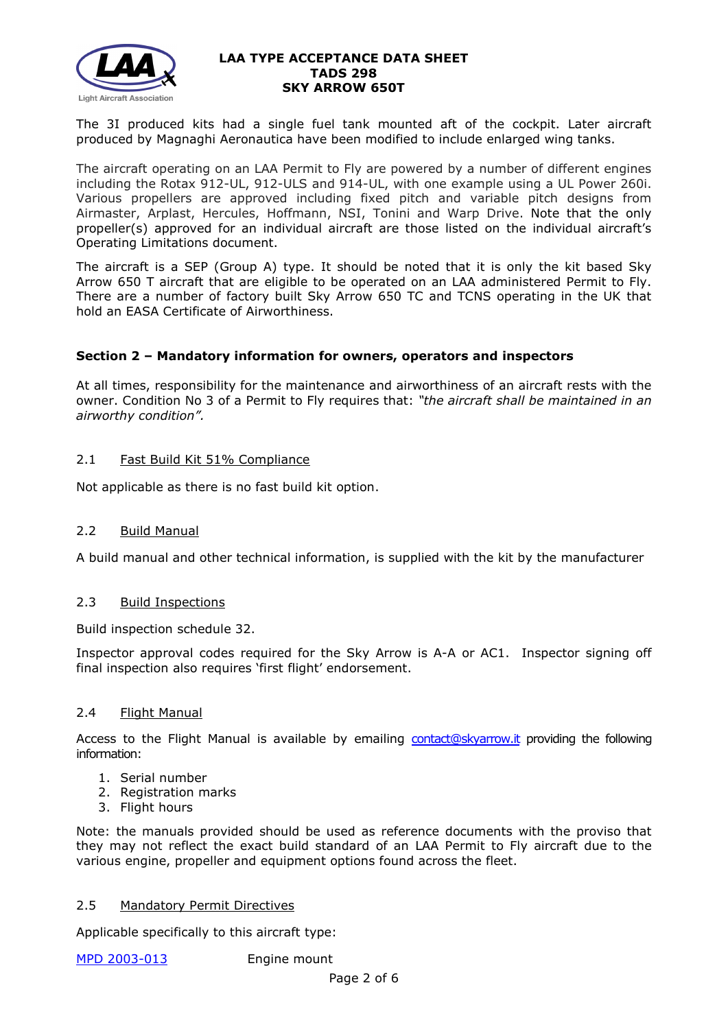

The 3I produced kits had a single fuel tank mounted aft of the cockpit. Later aircraft produced by Magnaghi Aeronautica have been modified to include enlarged wing tanks.

The aircraft operating on an LAA Permit to Fly are powered by a number of different engines including the Rotax 912-UL, 912-ULS and 914-UL, with one example using a UL Power 260i. Various propellers are approved including fixed pitch and variable pitch designs from Airmaster, Arplast, Hercules, Hoffmann, NSI, Tonini and Warp Drive. Note that the only propeller(s) approved for an individual aircraft are those listed on the individual aircraft's Operating Limitations document.

The aircraft is a SEP (Group A) type. It should be noted that it is only the kit based Sky Arrow 650 T aircraft that are eligible to be operated on an LAA administered Permit to Fly. There are a number of factory built Sky Arrow 650 TC and TCNS operating in the UK that hold an EASA Certificate of Airworthiness.

## **Section 2 – Mandatory information for owners, operators and inspectors**

At all times, responsibility for the maintenance and airworthiness of an aircraft rests with the owner. Condition No 3 of a Permit to Fly requires that: *"the aircraft shall be maintained in an airworthy condition".* 

## 2.1 Fast Build Kit 51% Compliance

Not applicable as there is no fast build kit option.

## 2.2 Build Manual

A build manual and other technical information, is supplied with the kit by the manufacturer

## 2.3 Build Inspections

Build inspection schedule 32.

Inspector approval codes required for the Sky Arrow is A-A or AC1. Inspector signing off final inspection also requires 'first flight' endorsement.

## 2.4 Flight Manual

Access to the Flight Manual is available by emailing [contact@skyarrow.it](mailto:contact@skyarrow.it) providing the following information:

- 1. Serial number
- 2. Registration marks
- 3. Flight hours

Note: the manuals provided should be used as reference documents with the proviso that they may not reflect the exact build standard of an LAA Permit to Fly aircraft due to the various engine, propeller and equipment options found across the fleet.

## 2.5 Mandatory Permit Directives

Applicable specifically to this aircraft type:

[MPD 2003-013](http://www.lightaircraftassociation.co.uk/engineering/TADs/298/MPD2003013.pdf) Engine mount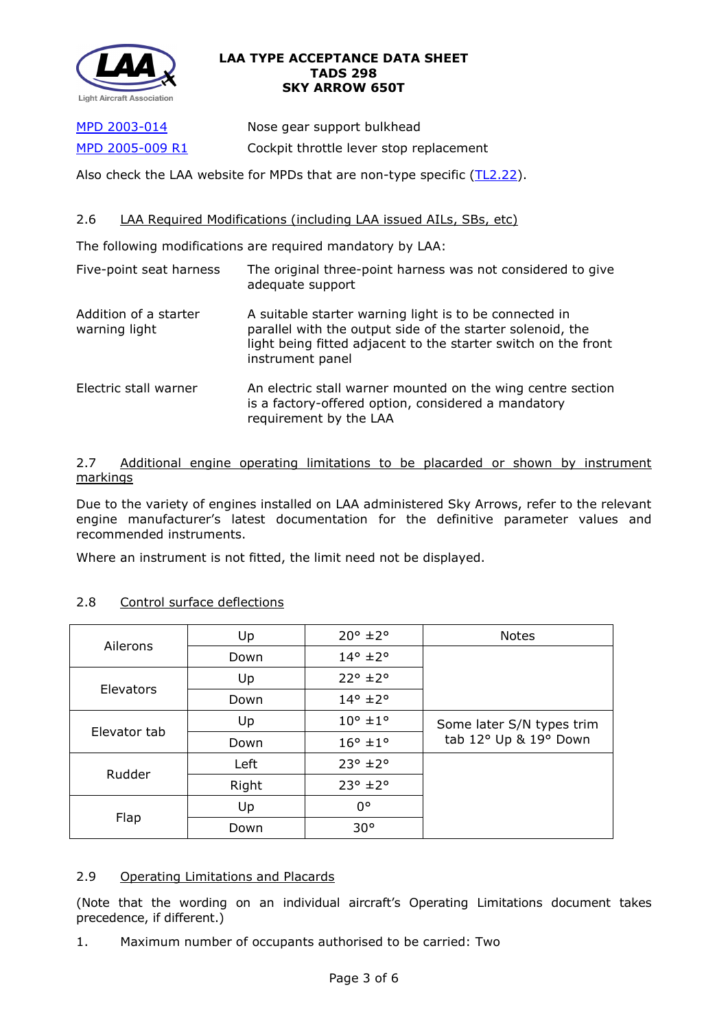

[MPD 2003-014](http://www.lightaircraftassociation.co.uk/engineering/TADs/298/MPD2003014.pdf) Nose gear support bulkhead [MPD 2005-009 R1](http://www.lightaircraftassociation.co.uk/engineering/TADs/298/MPD2005009R1.pdf) Cockpit throttle lever stop replacement

Also check the LAA website for MPDs that are non-type specific [\(TL2.22\)](http://www.lightaircraftassociation.co.uk/engineering/TechnicalLeaflets/Operating%20An%20Aircraft/TL%202.22%20non-type%20specific%20MPDs.pdf).

# 2.6 LAA Required Modifications (including LAA issued AILs, SBs, etc)

The following modifications are required mandatory by LAA:

| Five-point seat harness                | The original three-point harness was not considered to give<br>adequate support                                                                                                                            |
|----------------------------------------|------------------------------------------------------------------------------------------------------------------------------------------------------------------------------------------------------------|
| Addition of a starter<br>warning light | A suitable starter warning light is to be connected in<br>parallel with the output side of the starter solenoid, the<br>light being fitted adjacent to the starter switch on the front<br>instrument panel |
| Electric stall warner                  | An electric stall warner mounted on the wing centre section<br>is a factory-offered option, considered a mandatory<br>requirement by the LAA                                                               |

## 2.7 Additional engine operating limitations to be placarded or shown by instrument markings

Due to the variety of engines installed on LAA administered Sky Arrows, refer to the relevant engine manufacturer's latest documentation for the definitive parameter values and recommended instruments.

Where an instrument is not fitted, the limit need not be displayed.

|              | Up    | $20^{\circ}$ ±2°           | <b>Notes</b>                                       |  |
|--------------|-------|----------------------------|----------------------------------------------------|--|
| Ailerons     | Down  | $14^{\circ}$ ±2 $^{\circ}$ |                                                    |  |
| Elevators    | Up    | $22^{\circ}$ ±2°           |                                                    |  |
|              | Down  | $14^{\circ}$ ±2 $^{\circ}$ |                                                    |  |
| Elevator tab | Up    | $10^{\circ}$ ±1°           | Some later S/N types trim<br>tab 12° Up & 19° Down |  |
|              | Down  | $16^{\circ}$ ± $1^{\circ}$ |                                                    |  |
| Rudder       | Left  | $23^{\circ}$ ±2°           |                                                    |  |
|              | Right | $23^{\circ}$ ±2 $^{\circ}$ |                                                    |  |
|              | Up    | $0^{\circ}$                |                                                    |  |
| Flap         | Down  | $30^{\circ}$               |                                                    |  |

# 2.8 Control surface deflections

# 2.9 Operating Limitations and Placards

(Note that the wording on an individual aircraft's Operating Limitations document takes precedence, if different.)

1. Maximum number of occupants authorised to be carried: Two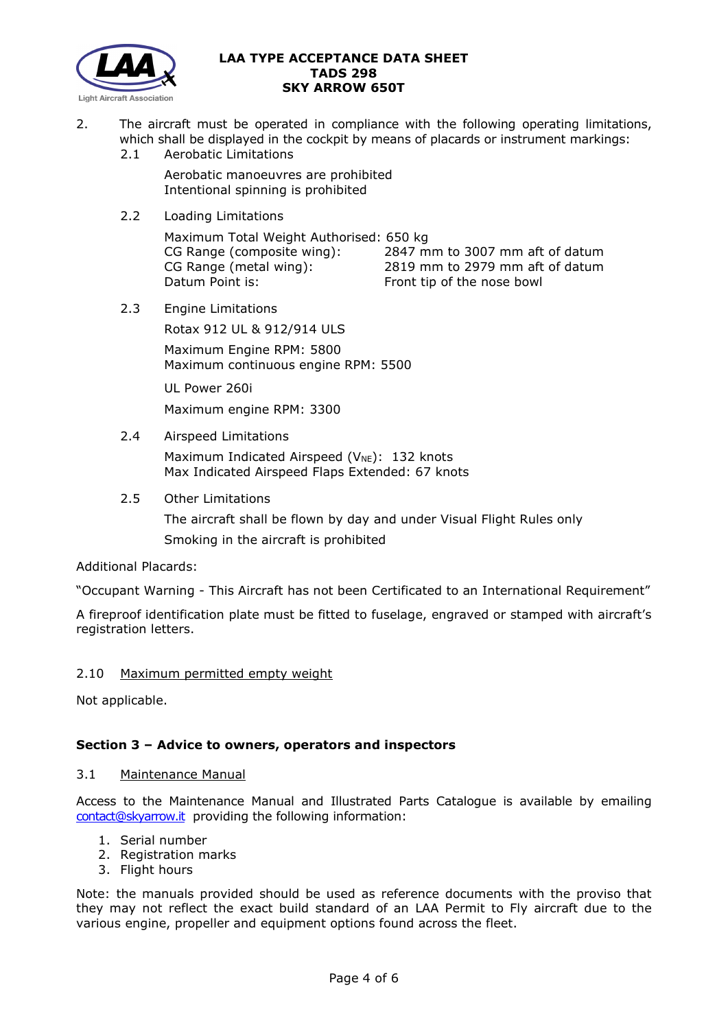

- 2. The aircraft must be operated in compliance with the following operating limitations, which shall be displayed in the cockpit by means of placards or instrument markings:
	- 2.1 Aerobatic Limitations

Aerobatic manoeuvres are prohibited Intentional spinning is prohibited

2.2 Loading Limitations

Maximum Total Weight Authorised: 650 kg CG Range (composite wing): 2847 mm to 3007 mm aft of datum CG Range (metal wing): 2819 mm to 2979 mm aft of datum Datum Point is: Front tip of the nose bowl

2.3 Engine Limitations

Rotax 912 UL & 912/914 ULS

Maximum Engine RPM: 5800 Maximum continuous engine RPM: 5500

UL Power 260i

Maximum engine RPM: 3300

2.4 Airspeed Limitations

Maximum Indicated Airspeed ( $V_{NE}$ ): 132 knots Max Indicated Airspeed Flaps Extended: 67 knots

## 2.5 Other Limitations

The aircraft shall be flown by day and under Visual Flight Rules only Smoking in the aircraft is prohibited

## Additional Placards:

"Occupant Warning - This Aircraft has not been Certificated to an International Requirement"

A fireproof identification plate must be fitted to fuselage, engraved or stamped with aircraft's registration letters.

# 2.10 Maximum permitted empty weight

Not applicable.

# **Section 3 – Advice to owners, operators and inspectors**

## 3.1 Maintenance Manual

Access to the Maintenance Manual and Illustrated Parts Catalogue is available by emailing [contact@skyarrow.it](mailto:contact@skyarrow.it) providing the following information:

- 1. Serial number
- 2. Registration marks
- 3. Flight hours

Note: the manuals provided should be used as reference documents with the proviso that they may not reflect the exact build standard of an LAA Permit to Fly aircraft due to the various engine, propeller and equipment options found across the fleet.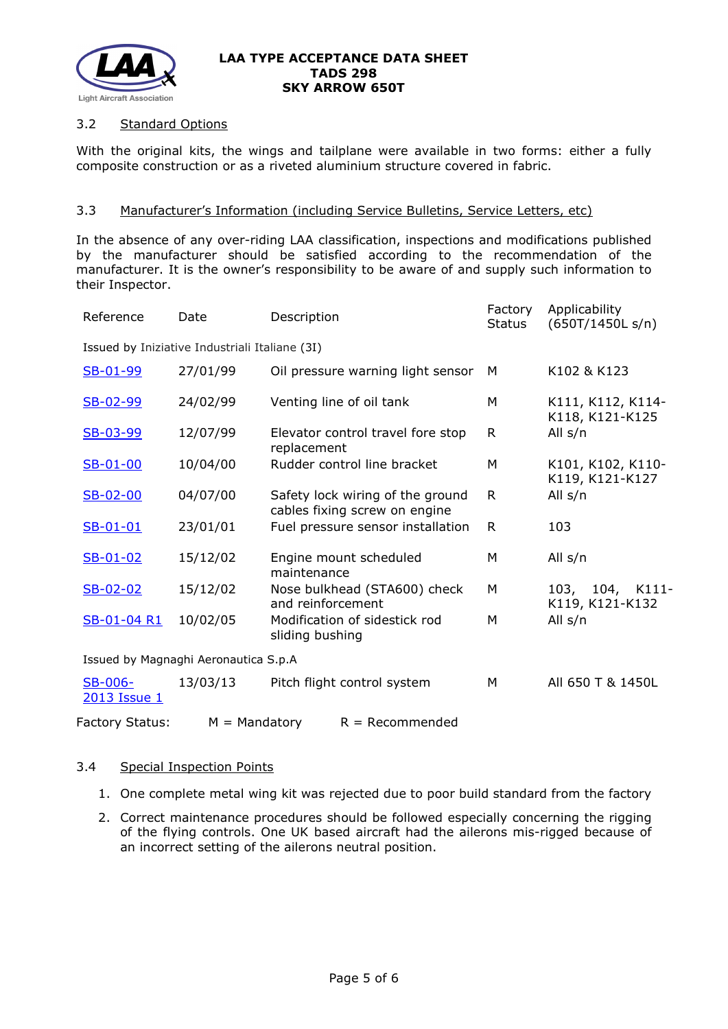

## 3.2 Standard Options

With the original kits, the wings and tailplane were available in two forms: either a fully composite construction or as a riveted aluminium structure covered in fabric.

### 3.3 Manufacturer's Information (including Service Bulletins, Service Letters, etc)

In the absence of any over-riding LAA classification, inspections and modifications published by the manufacturer should be satisfied according to the recommendation of the manufacturer. It is the owner's responsibility to be aware of and supply such information to their Inspector.

| Reference                                      | Date            | Description                                                       | Factory<br><b>Status</b> | Applicability<br>(650T/1450L s/n)          |  |  |  |  |
|------------------------------------------------|-----------------|-------------------------------------------------------------------|--------------------------|--------------------------------------------|--|--|--|--|
| Issued by Iniziative Industriali Italiane (3I) |                 |                                                                   |                          |                                            |  |  |  |  |
| SB-01-99                                       | 27/01/99        | Oil pressure warning light sensor                                 | M                        | K102 & K123                                |  |  |  |  |
| SB-02-99                                       | 24/02/99        | Venting line of oil tank                                          | M                        | K111, K112, K114-<br>K118, K121-K125       |  |  |  |  |
| SB-03-99                                       | 12/07/99        | Elevator control travel fore stop<br>replacement                  | $\mathsf{R}$             | All s/n                                    |  |  |  |  |
| $S-B-01-00$                                    | 10/04/00        | Rudder control line bracket                                       | M                        | K101, K102, K110-<br>K119, K121-K127       |  |  |  |  |
| SB-02-00                                       | 04/07/00        | Safety lock wiring of the ground<br>cables fixing screw on engine | R                        | All s/n                                    |  |  |  |  |
| $S-B-01-01$                                    | 23/01/01        | Fuel pressure sensor installation                                 | R                        | 103                                        |  |  |  |  |
| $SB-01-02$                                     | 15/12/02        | Engine mount scheduled<br>maintenance                             | M                        | All s/n                                    |  |  |  |  |
| $SB-02-02$                                     | 15/12/02        | Nose bulkhead (STA600) check<br>and reinforcement                 | M                        | 104,<br>103,<br>$K111-$<br>K119, K121-K132 |  |  |  |  |
| SB-01-04 R1                                    | 10/02/05        | Modification of sidestick rod<br>sliding bushing                  | M                        | All s/n                                    |  |  |  |  |
| Issued by Magnaghi Aeronautica S.p.A           |                 |                                                                   |                          |                                            |  |  |  |  |
| <b>SB-006-</b><br>2013 Issue 1                 | 13/03/13        | Pitch flight control system                                       | M                        | All 650 T & 1450L                          |  |  |  |  |
| <b>Factory Status:</b>                         | $M =$ Mandatory | $R = Recommended$                                                 |                          |                                            |  |  |  |  |

#### 3.4 Special Inspection Points

- 1. One complete metal wing kit was rejected due to poor build standard from the factory
- 2. Correct maintenance procedures should be followed especially concerning the rigging of the flying controls. One UK based aircraft had the ailerons mis-rigged because of an incorrect setting of the ailerons neutral position.